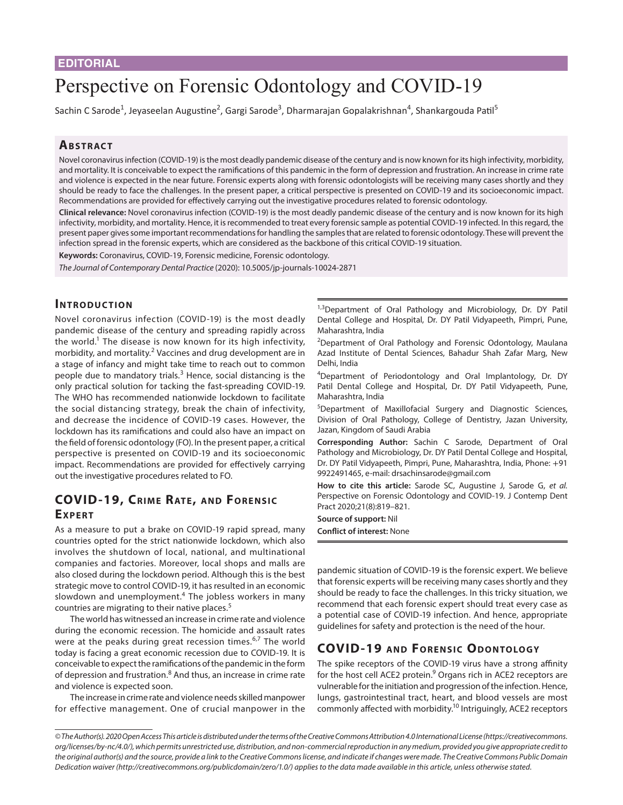# Perspective on Forensic Odontology and COVID-19

Sachin C Sarode<sup>1</sup>, Jeyaseelan Augustine<sup>2</sup>, Gargi Sarode<sup>3</sup>, Dharmarajan Gopalakrishnan<sup>4</sup>, Shankargouda Patil<sup>5</sup>

## **ABSTRACT**

Novel coronavirus infection (COVID-19) is the most deadly pandemic disease of the century and is now known for its high infectivity, morbidity, and mortality. It is conceivable to expect the ramifications of this pandemic in the form of depression and frustration. An increase in crime rate and violence is expected in the near future. Forensic experts along with forensic odontologists will be receiving many cases shortly and they should be ready to face the challenges. In the present paper, a critical perspective is presented on COVID-19 and its socioeconomic impact. Recommendations are provided for effectively carrying out the investigative procedures related to forensic odontology.

**Clinical relevance:** Novel coronavirus infection (COVID-19) is the most deadly pandemic disease of the century and is now known for its high infectivity, morbidity, and mortality. Hence, it is recommended to treat every forensic sample as potential COVID-19 infected. In this regard, the present paper gives some important recommendations for handling the samples that are related to forensic odontology. These will prevent the infection spread in the forensic experts, which are considered as the backbone of this critical COVID-19 situation.

**Keywords:** Coronavirus, COVID-19, Forensic medicine, Forensic odontology.

*The Journal of Contemporary Dental Practice* (2020): 10.5005/jp-journals-10024-2871

### **INTRODUCTION**

Novel coronavirus infection (COVID-19) is the most deadly pandemic disease of the century and spreading rapidly across the world.<sup>1</sup> The disease is now known for its high infectivity, morbidity, and mortality.<sup>2</sup> Vaccines and drug development are in a stage of infancy and might take time to reach out to common people due to mandatory trials.<sup>3</sup> Hence, social distancing is the only practical solution for tacking the fast-spreading COVID-19. The WHO has recommended nationwide lockdown to facilitate the social distancing strategy, break the chain of infectivity, and decrease the incidence of COVID-19 cases. However, the lockdown has its ramifications and could also have an impact on the field of forensic odontology (FO). In the present paper, a critical perspective is presented on COVID-19 and its socioeconomic impact. Recommendations are provided for effectively carrying out the investigative procedures related to FO.

## **COVID-19, CRIME RATE, AND FORENSIC EXPERT**

As a measure to put a brake on COVID-19 rapid spread, many countries opted for the strict nationwide lockdown, which also involves the shutdown of local, national, and multinational companies and factories. Moreover, local shops and malls are also closed during the lockdown period. Although this is the best strategic move to control COVID-19, it has resulted in an economic slowdown and unemployment.<sup>4</sup> The jobless workers in many countries are migrating to their native places.<sup>5</sup>

The world has witnessed an increase in crime rate and violence during the economic recession. The homicide and assault rates were at the peaks during great recession times.<sup>6,7</sup> The world today is facing a great economic recession due to COVID-19. It is conceivable to expect the ramifications of the pandemic in the form of depression and frustration.<sup>8</sup> And thus, an increase in crime rate and violence is expected soon.

The increase in crime rate and violence needs skilled manpower for effective management. One of crucial manpower in the <sup>1,3</sup>Department of Oral Pathology and Microbiology, Dr. DY Patil Dental College and Hospital, Dr. DY Patil Vidyapeeth, Pimpri, Pune, Maharashtra, India

<sup>2</sup>Department of Oral Pathology and Forensic Odontology, Maulana Azad Institute of Dental Sciences, Bahadur Shah Zafar Marg, New Delhi, India

<sup>4</sup>Department of Periodontology and Oral Implantology, Dr. DY Patil Dental College and Hospital, Dr. DY Patil Vidyapeeth, Pune, Maharashtra, India

<sup>5</sup>Department of Maxillofacial Surgery and Diagnostic Sciences, Division of Oral Pathology, College of Dentistry, Jazan University, Jazan, Kingdom of Saudi Arabia

**Corresponding Author:** Sachin C Sarode, Department of Oral Pathology and Microbiology, Dr. DY Patil Dental College and Hospital, Dr. DY Patil Vidyapeeth, Pimpri, Pune, Maharashtra, India, Phone: +91 9922491465, e-mail: drsachinsarode@gmail.com

**How to cite this article:** Sarode SC, Augustine J, Sarode G, *et al.* Perspective on Forensic Odontology and COVID-19. J Contemp Dent Pract 2020;21(8):819–821.

**Source of support:** Nil

**Conflict of interest:** None

pandemic situation of COVID-19 is the forensic expert. We believe that forensic experts will be receiving many cases shortly and they should be ready to face the challenges. In this tricky situation, we recommend that each forensic expert should treat every case as a potential case of COVID-19 infection. And hence, appropriate guidelines for safety and protection is the need of the hour.

## **COVID-19 AND FORENSIC ODONTOLOGY**

The spike receptors of the COVID-19 virus have a strong affinity for the host cell ACE2 protein.<sup>9</sup> Organs rich in ACE2 receptors are vulnerable for the initiation and progression of the infection. Hence, lungs, gastrointestinal tract, heart, and blood vessels are most commonly affected with morbidity.<sup>10</sup> Intriguingly, ACE2 receptors

*<sup>©</sup> The Author(s). 2020 Open Access This article is distributed under the terms of the Creative Commons Attribution 4.0 International License (https://creativecommons. org/licenses/by-nc/4.0/), which permits unrestricted use, distribution, and non-commercial reproduction in any medium, provided you give appropriate credit to the original author(s) and the source, provide a link to the Creative Commons license, and indicate if changes were made. The Creative Commons Public Domain Dedication waiver (http://creativecommons.org/publicdomain/zero/1.0/) applies to the data made available in this article, unless otherwise stated.*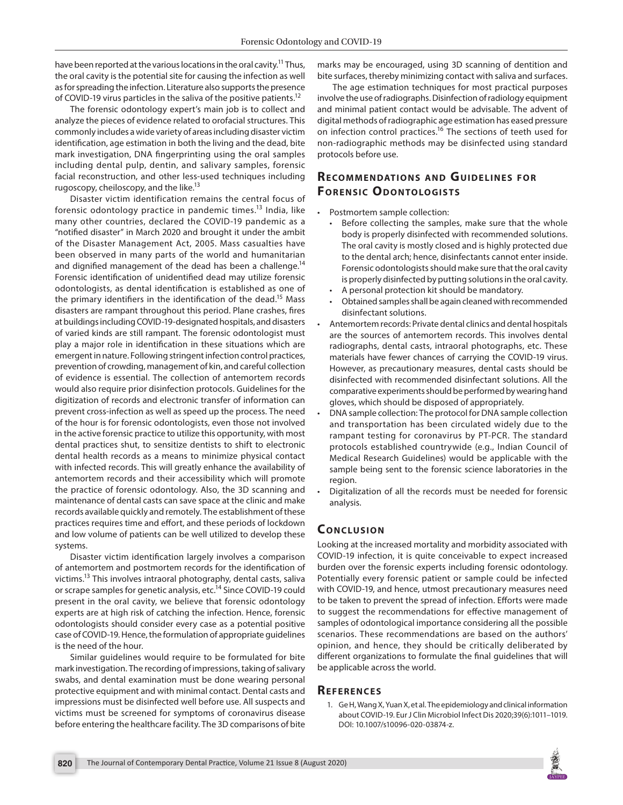have been reported at the various locations in the oral cavity.<sup>11</sup> Thus, the oral cavity is the potential site for causing the infection as well as for spreading the infection. Literature also supports the presence of COVID-19 virus particles in the saliva of the positive patients.<sup>12</sup>

The forensic odontology expert's main job is to collect and analyze the pieces of evidence related to orofacial structures. This commonly includes a wide variety of areas including disaster victim identification, age estimation in both the living and the dead, bite mark investigation, DNA fingerprinting using the oral samples including dental pulp, dentin, and salivary samples, forensic facial reconstruction, and other less-used techniques including rugoscopy, cheiloscopy, and the like.<sup>13</sup>

Disaster victim identification remains the central focus of forensic odontology practice in pandemic times.<sup>13</sup> India, like many other countries, declared the COVID-19 pandemic as a "notified disaster" in March 2020 and brought it under the ambit of the Disaster Management Act, 2005. Mass casualties have been observed in many parts of the world and humanitarian and dignified management of the dead has been a challenge.<sup>14</sup> Forensic identification of unidentified dead may utilize forensic odontologists, as dental identification is established as one of the primary identifiers in the identification of the dead.<sup>15</sup> Mass disasters are rampant throughout this period. Plane crashes, fires at buildings including COVID-19-designated hospitals, and disasters of varied kinds are still rampant. The forensic odontologist must play a major role in identification in these situations which are emergent in nature. Following stringent infection control practices, prevention of crowding, management of kin, and careful collection of evidence is essential. The collection of antemortem records would also require prior disinfection protocols. Guidelines for the digitization of records and electronic transfer of information can prevent cross-infection as well as speed up the process. The need of the hour is for forensic odontologists, even those not involved in the active forensic practice to utilize this opportunity, with most dental practices shut, to sensitize dentists to shift to electronic dental health records as a means to minimize physical contact with infected records. This will greatly enhance the availability of antemortem records and their accessibility which will promote the practice of forensic odontology. Also, the 3D scanning and maintenance of dental casts can save space at the clinic and make records available quickly and remotely. The establishment of these practices requires time and effort, and these periods of lockdown and low volume of patients can be well utilized to develop these systems.

Disaster victim identification largely involves a comparison of antemortem and postmortem records for the identification of victims.13 This involves intraoral photography, dental casts, saliva or scrape samples for genetic analysis, etc.<sup>14</sup> Since COVID-19 could present in the oral cavity, we believe that forensic odontology experts are at high risk of catching the infection. Hence, forensic odontologists should consider every case as a potential positive case of COVID-19. Hence, the formulation of appropriate guidelines is the need of the hour.

Similar guidelines would require to be formulated for bite mark investigation. The recording of impressions, taking of salivary swabs, and dental examination must be done wearing personal protective equipment and with minimal contact. Dental casts and impressions must be disinfected well before use. All suspects and victims must be screened for symptoms of coronavirus disease before entering the healthcare facility. The 3D comparisons of bite marks may be encouraged, using 3D scanning of dentition and bite surfaces, thereby minimizing contact with saliva and surfaces.

The age estimation techniques for most practical purposes involve the use of radiographs. Disinfection of radiology equipment and minimal patient contact would be advisable. The advent of digital methods of radiographic age estimation has eased pressure on infection control practices.<sup>16</sup> The sections of teeth used for non-radiographic methods may be disinfected using standard protocols before use.

## **RECOMMENDATIONS AND GUIDELINES FOR FORENSIC ODONTOLOGISTS**

- Postmortem sample collection:
	- Before collecting the samples, make sure that the whole body is properly disinfected with recommended solutions. The oral cavity is mostly closed and is highly protected due to the dental arch; hence, disinfectants cannot enter inside. Forensic odontologists should make sure that the oral cavity is properly disinfected by putting solutions in the oral cavity.
	- A personal protection kit should be mandatory.
	- Obtained samples shall be again cleaned with recommended disinfectant solutions.
- Antemortem records: Private dental clinics and dental hospitals are the sources of antemortem records. This involves dental radiographs, dental casts, intraoral photographs, etc. These materials have fewer chances of carrying the COVID-19 virus. However, as precautionary measures, dental casts should be disinfected with recommended disinfectant solutions. All the comparative experiments should be performed by wearing hand gloves, which should be disposed of appropriately.
- DNA sample collection: The protocol for DNA sample collection and transportation has been circulated widely due to the rampant testing for coronavirus by PT-PCR. The standard protocols established countrywide (e.g., Indian Council of Medical Research Guidelines) would be applicable with the sample being sent to the forensic science laboratories in the region.
- Digitalization of all the records must be needed for forensic analysis.

### **CONCLUSION**

Looking at the increased mortality and morbidity associated with COVID-19 infection, it is quite conceivable to expect increased burden over the forensic experts including forensic odontology. Potentially every forensic patient or sample could be infected with COVID-19, and hence, utmost precautionary measures need to be taken to prevent the spread of infection. Efforts were made to suggest the recommendations for effective management of samples of odontological importance considering all the possible scenarios. These recommendations are based on the authors' opinion, and hence, they should be critically deliberated by different organizations to formulate the final guidelines that will be applicable across the world.

#### **Refe r e n c e s**

1. Ge H, Wang X, Yuan X, et al. The epidemiology and clinical information about COVID-19. Eur J Clin Microbiol Infect Dis 2020;39(6):1011–1019. DOI: 10.1007/s10096-020-03874-z.